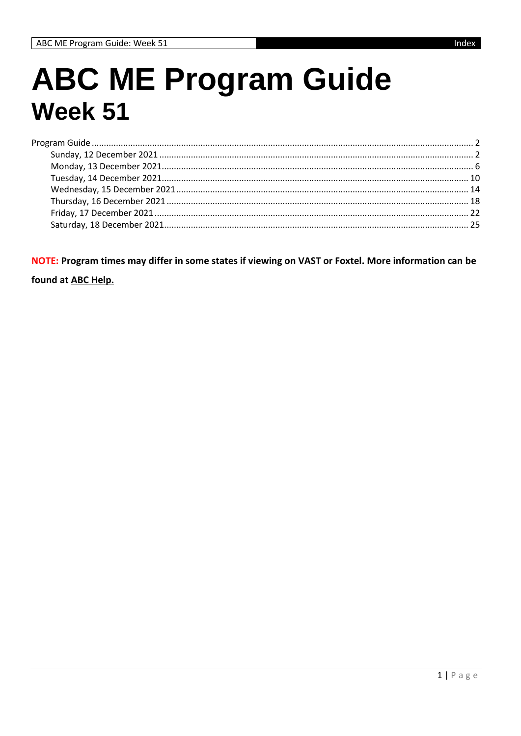# **ABC ME Program Guide Week 51**

NOTE: Program times may differ in some states if viewing on VAST or Foxtel. More information can be

found at ABC Help.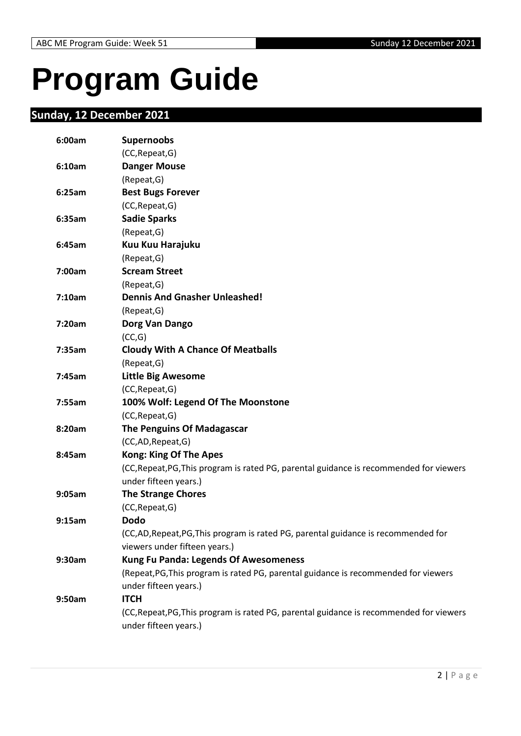# <span id="page-1-0"></span>**Program Guide**

# <span id="page-1-1"></span>**Sunday, 12 December 2021**

| 6:00am | <b>Supernoobs</b>                                                                       |
|--------|-----------------------------------------------------------------------------------------|
|        | (CC, Repeat, G)                                                                         |
| 6:10am | <b>Danger Mouse</b>                                                                     |
|        | (Repeat, G)                                                                             |
| 6:25am | <b>Best Bugs Forever</b>                                                                |
|        | (CC, Repeat, G)                                                                         |
| 6:35am | <b>Sadie Sparks</b>                                                                     |
|        | (Repeat, G)                                                                             |
| 6:45am | Kuu Kuu Harajuku                                                                        |
|        | (Repeat, G)                                                                             |
| 7:00am | <b>Scream Street</b>                                                                    |
|        | (Repeat, G)                                                                             |
| 7:10am | <b>Dennis And Gnasher Unleashed!</b>                                                    |
|        | (Repeat, G)                                                                             |
| 7:20am | Dorg Van Dango                                                                          |
|        | (CC,G)                                                                                  |
| 7:35am | <b>Cloudy With A Chance Of Meatballs</b>                                                |
|        | (Repeat, G)                                                                             |
| 7:45am | <b>Little Big Awesome</b>                                                               |
|        | (CC, Repeat, G)                                                                         |
| 7:55am | 100% Wolf: Legend Of The Moonstone                                                      |
|        | (CC, Repeat, G)                                                                         |
| 8:20am | <b>The Penguins Of Madagascar</b>                                                       |
|        | (CC,AD, Repeat, G)                                                                      |
| 8:45am | <b>Kong: King Of The Apes</b>                                                           |
|        | (CC, Repeat, PG, This program is rated PG, parental guidance is recommended for viewers |
|        | under fifteen years.)                                                                   |
| 9:05am | <b>The Strange Chores</b>                                                               |
|        | (CC, Repeat, G)                                                                         |
| 9:15am | <b>Dodo</b>                                                                             |
|        | (CC,AD,Repeat,PG,This program is rated PG, parental guidance is recommended for         |
|        | viewers under fifteen years.)                                                           |
| 9:30am | <b>Kung Fu Panda: Legends Of Awesomeness</b>                                            |
|        | (Repeat, PG, This program is rated PG, parental guidance is recommended for viewers     |
|        | under fifteen years.)                                                                   |
| 9:50am | <b>ITCH</b>                                                                             |
|        | (CC, Repeat, PG, This program is rated PG, parental guidance is recommended for viewers |
|        | under fifteen years.)                                                                   |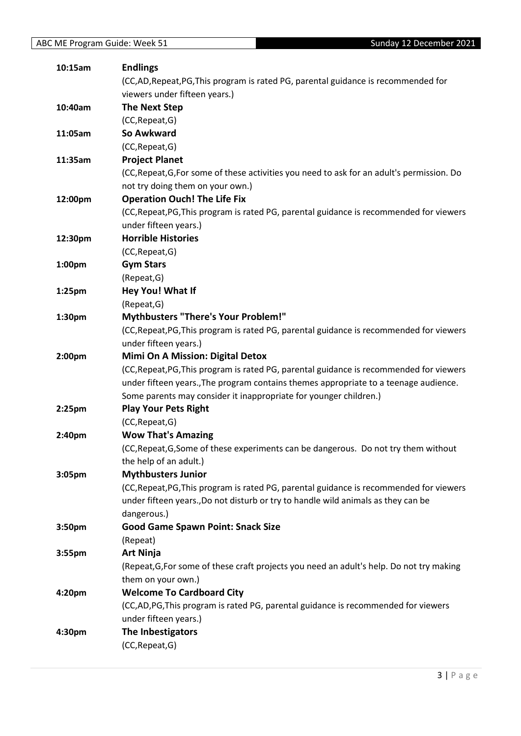| 10:15am            | <b>Endlings</b>                                                                            |
|--------------------|--------------------------------------------------------------------------------------------|
|                    | (CC,AD,Repeat,PG,This program is rated PG, parental guidance is recommended for            |
|                    | viewers under fifteen years.)                                                              |
| 10:40am            | <b>The Next Step</b>                                                                       |
|                    | (CC, Repeat, G)                                                                            |
| 11:05am            | So Awkward                                                                                 |
|                    | (CC, Repeat, G)                                                                            |
| 11:35am            | <b>Project Planet</b>                                                                      |
|                    | (CC, Repeat, G, For some of these activities you need to ask for an adult's permission. Do |
|                    | not try doing them on your own.)                                                           |
| 12:00pm            | <b>Operation Ouch! The Life Fix</b>                                                        |
|                    | (CC, Repeat, PG, This program is rated PG, parental guidance is recommended for viewers    |
|                    | under fifteen years.)                                                                      |
| 12:30pm            | <b>Horrible Histories</b>                                                                  |
|                    | (CC, Repeat, G)                                                                            |
| 1:00pm             | <b>Gym Stars</b>                                                                           |
|                    | (Repeat, G)                                                                                |
| 1:25pm             | Hey You! What If                                                                           |
|                    | (Repeat, G)                                                                                |
| 1:30pm             | <b>Mythbusters "There's Your Problem!"</b>                                                 |
|                    | (CC, Repeat, PG, This program is rated PG, parental guidance is recommended for viewers    |
|                    | under fifteen years.)                                                                      |
| 2:00pm             | <b>Mimi On A Mission: Digital Detox</b>                                                    |
|                    | (CC, Repeat, PG, This program is rated PG, parental guidance is recommended for viewers    |
|                    | under fifteen years., The program contains themes appropriate to a teenage audience.       |
|                    | Some parents may consider it inappropriate for younger children.)                          |
| $2:25$ pm          | <b>Play Your Pets Right</b>                                                                |
|                    | (CC, Repeat, G)                                                                            |
| 2:40pm             | <b>Wow That's Amazing</b>                                                                  |
|                    | (CC, Repeat, G, Some of these experiments can be dangerous. Do not try them without        |
|                    | the help of an adult.)                                                                     |
| 3:05pm             | <b>Mythbusters Junior</b>                                                                  |
|                    | (CC, Repeat, PG, This program is rated PG, parental guidance is recommended for viewers    |
|                    | under fifteen years., Do not disturb or try to handle wild animals as they can be          |
|                    | dangerous.)                                                                                |
| 3:50pm             | <b>Good Game Spawn Point: Snack Size</b>                                                   |
|                    | (Repeat)                                                                                   |
| 3:55pm             | <b>Art Ninja</b>                                                                           |
|                    | (Repeat, G, For some of these craft projects you need an adult's help. Do not try making   |
|                    | them on your own.)                                                                         |
| 4:20 <sub>pm</sub> | <b>Welcome To Cardboard City</b>                                                           |
|                    | (CC,AD,PG,This program is rated PG, parental guidance is recommended for viewers           |
|                    | under fifteen years.)                                                                      |
| 4:30pm             | The Inbestigators                                                                          |
|                    | (CC, Repeat, G)                                                                            |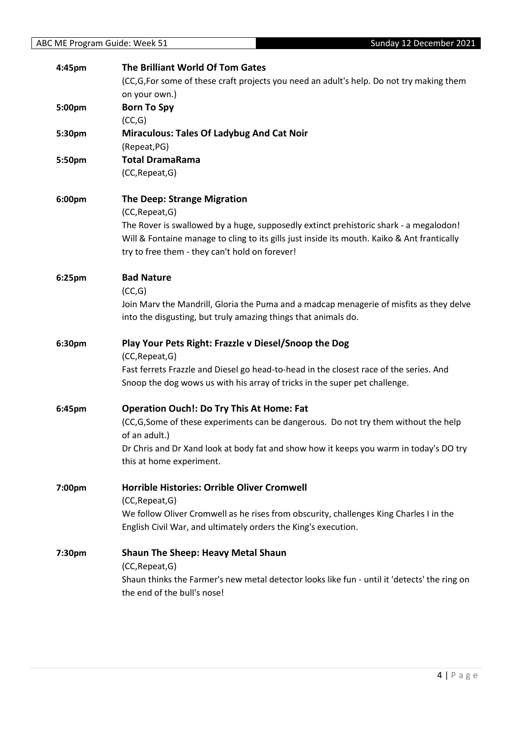| 4:45pm | The Brilliant World Of Tom Gates<br>(CC,G,For some of these craft projects you need an adult's help. Do not try making them                   |
|--------|-----------------------------------------------------------------------------------------------------------------------------------------------|
|        | on your own.)                                                                                                                                 |
| 5:00pm | <b>Born To Spy</b>                                                                                                                            |
|        | (CC,G)                                                                                                                                        |
| 5:30pm | <b>Miraculous: Tales Of Ladybug And Cat Noir</b>                                                                                              |
|        | (Repeat, PG)                                                                                                                                  |
| 5:50pm | <b>Total DramaRama</b>                                                                                                                        |
|        | (CC, Repeat, G)                                                                                                                               |
| 6:00pm | <b>The Deep: Strange Migration</b>                                                                                                            |
|        | (CC, Repeat, G)                                                                                                                               |
|        | The Rover is swallowed by a huge, supposedly extinct prehistoric shark - a megalodon!                                                         |
|        | Will & Fontaine manage to cling to its gills just inside its mouth. Kaiko & Ant frantically<br>try to free them - they can't hold on forever! |
|        |                                                                                                                                               |
| 6:25pm | <b>Bad Nature</b>                                                                                                                             |
|        | (CC,G)                                                                                                                                        |
|        | Join Marv the Mandrill, Gloria the Puma and a madcap menagerie of misfits as they delve                                                       |
|        | into the disgusting, but truly amazing things that animals do.                                                                                |
|        |                                                                                                                                               |
| 6:30pm | Play Your Pets Right: Frazzle v Diesel/Snoop the Dog                                                                                          |
|        | (CC, Repeat, G)                                                                                                                               |
|        | Fast ferrets Frazzle and Diesel go head-to-head in the closest race of the series. And                                                        |
|        | Snoop the dog wows us with his array of tricks in the super pet challenge.                                                                    |
| 6:45pm | <b>Operation Ouch!: Do Try This At Home: Fat</b>                                                                                              |
|        | (CC,G,Some of these experiments can be dangerous. Do not try them without the help                                                            |
|        | of an adult.)                                                                                                                                 |
|        | Dr Chris and Dr Xand look at body fat and show how it keeps you warm in today's DO try                                                        |
|        | this at home experiment.                                                                                                                      |
| 7:00pm | <b>Horrible Histories: Orrible Oliver Cromwell</b>                                                                                            |
|        | (CC, Repeat, G)                                                                                                                               |
|        | We follow Oliver Cromwell as he rises from obscurity, challenges King Charles I in the                                                        |
|        | English Civil War, and ultimately orders the King's execution.                                                                                |
| 7:30pm | <b>Shaun The Sheep: Heavy Metal Shaun</b>                                                                                                     |
|        | (CC, Repeat, G)                                                                                                                               |
|        | Shaun thinks the Farmer's new metal detector looks like fun - until it 'detects' the ring on                                                  |
|        | the end of the bull's nose!                                                                                                                   |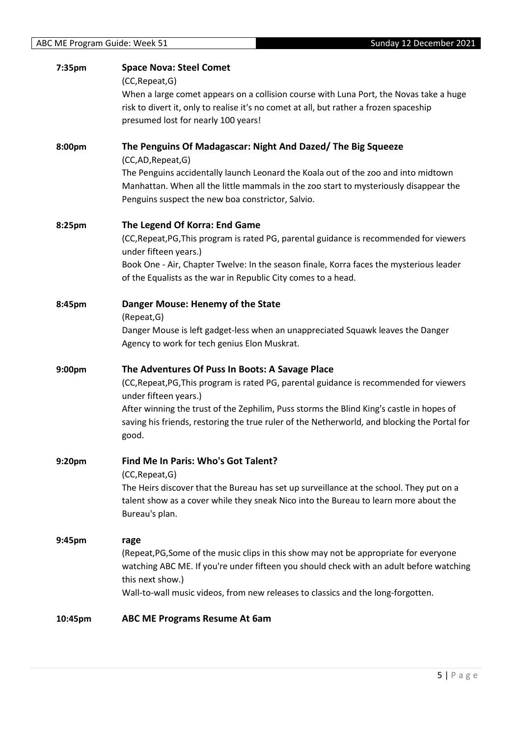| 7:35pm  | <b>Space Nova: Steel Comet</b><br>(CC, Repeat, G)<br>When a large comet appears on a collision course with Luna Port, the Novas take a huge<br>risk to divert it, only to realise it's no comet at all, but rather a frozen spaceship<br>presumed lost for nearly 100 years!                                                                                             |
|---------|--------------------------------------------------------------------------------------------------------------------------------------------------------------------------------------------------------------------------------------------------------------------------------------------------------------------------------------------------------------------------|
| 8:00pm  | The Penguins Of Madagascar: Night And Dazed/ The Big Squeeze<br>(CC,AD,Repeat,G)<br>The Penguins accidentally launch Leonard the Koala out of the zoo and into midtown<br>Manhattan. When all the little mammals in the zoo start to mysteriously disappear the                                                                                                          |
|         | Penguins suspect the new boa constrictor, Salvio.                                                                                                                                                                                                                                                                                                                        |
| 8:25pm  | The Legend Of Korra: End Game<br>(CC, Repeat, PG, This program is rated PG, parental guidance is recommended for viewers<br>under fifteen years.)<br>Book One - Air, Chapter Twelve: In the season finale, Korra faces the mysterious leader<br>of the Equalists as the war in Republic City comes to a head.                                                            |
| 8:45pm  | Danger Mouse: Henemy of the State<br>(Repeat, G)<br>Danger Mouse is left gadget-less when an unappreciated Squawk leaves the Danger<br>Agency to work for tech genius Elon Muskrat.                                                                                                                                                                                      |
| 9:00pm  | The Adventures Of Puss In Boots: A Savage Place<br>(CC, Repeat, PG, This program is rated PG, parental guidance is recommended for viewers<br>under fifteen years.)<br>After winning the trust of the Zephilim, Puss storms the Blind King's castle in hopes of<br>saving his friends, restoring the true ruler of the Netherworld, and blocking the Portal for<br>good. |
| 9:20pm  | Find Me In Paris: Who's Got Talent?<br>(CC, Repeat, G)<br>The Heirs discover that the Bureau has set up surveillance at the school. They put on a<br>talent show as a cover while they sneak Nico into the Bureau to learn more about the<br>Bureau's plan.                                                                                                              |
| 9:45pm  | rage<br>(Repeat, PG, Some of the music clips in this show may not be appropriate for everyone<br>watching ABC ME. If you're under fifteen you should check with an adult before watching<br>this next show.)<br>Wall-to-wall music videos, from new releases to classics and the long-forgotten.                                                                         |
| 10:45pm | <b>ABC ME Programs Resume At 6am</b>                                                                                                                                                                                                                                                                                                                                     |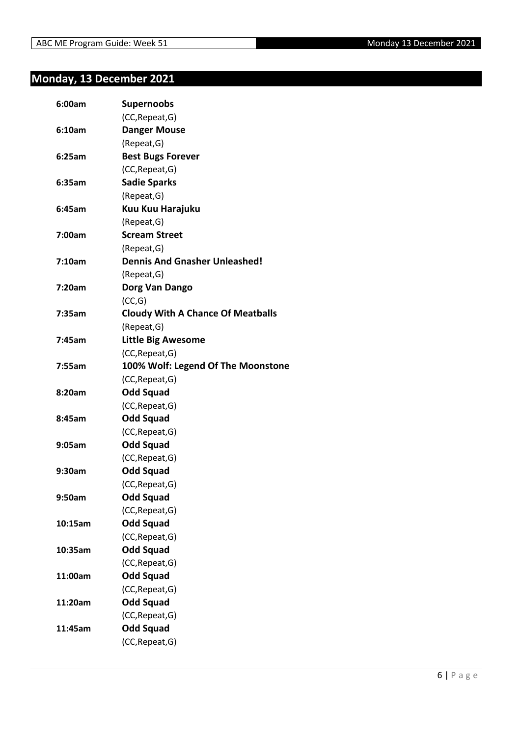# <span id="page-5-0"></span>**Monday, 13 December 2021**

| 6:00am  | <b>Supernoobs</b>                        |
|---------|------------------------------------------|
|         | (CC, Repeat, G)                          |
| 6:10am  | <b>Danger Mouse</b>                      |
|         | (Repeat, G)                              |
| 6:25am  | <b>Best Bugs Forever</b>                 |
|         | (CC, Repeat, G)                          |
| 6:35am  | <b>Sadie Sparks</b>                      |
|         | (Repeat, G)                              |
| 6:45am  | Kuu Kuu Harajuku                         |
|         | (Repeat, G)                              |
| 7:00am  | <b>Scream Street</b>                     |
|         | (Repeat, G)                              |
| 7:10am  | <b>Dennis And Gnasher Unleashed!</b>     |
|         | (Repeat, G)                              |
| 7:20am  | Dorg Van Dango                           |
|         | (CC,G)                                   |
| 7:35am  | <b>Cloudy With A Chance Of Meatballs</b> |
|         | (Repeat, G)                              |
| 7:45am  | <b>Little Big Awesome</b>                |
|         | (CC, Repeat, G)                          |
| 7:55am  | 100% Wolf: Legend Of The Moonstone       |
|         | (CC, Repeat, G)                          |
| 8:20am  | <b>Odd Squad</b>                         |
|         | (CC, Repeat, G)                          |
| 8:45am  | <b>Odd Squad</b>                         |
|         | (CC, Repeat, G)                          |
| 9:05am  | <b>Odd Squad</b>                         |
|         | (CC, Repeat, G)                          |
| 9:30am  | <b>Odd Squad</b>                         |
|         | (CC, Repeat, G)                          |
| 9:50am  | <b>Odd Squad</b>                         |
|         | (CC, Repeat, G)                          |
| 10:15am | <b>Odd Squad</b>                         |
|         | (CC, Repeat, G)                          |
| 10:35am | <b>Odd Squad</b>                         |
|         | (CC, Repeat, G)                          |
| 11:00am | <b>Odd Squad</b>                         |
|         | (CC, Repeat, G)                          |
| 11:20am | <b>Odd Squad</b>                         |
|         | (CC, Repeat, G)                          |
| 11:45am | <b>Odd Squad</b>                         |
|         | (CC, Repeat, G)                          |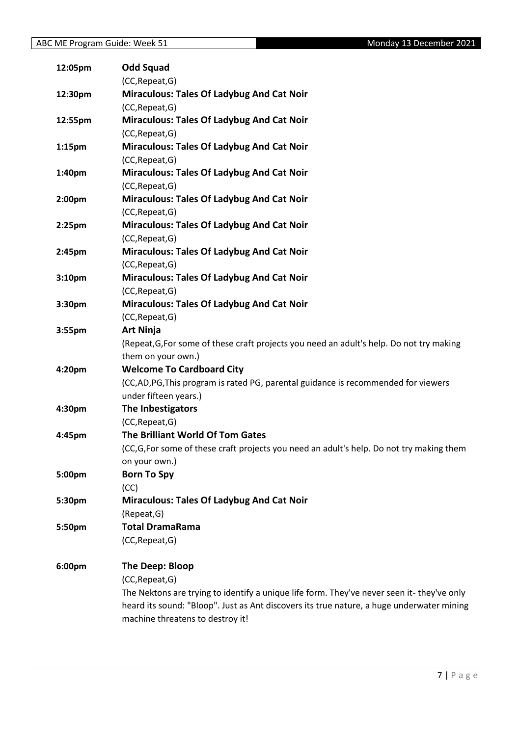| 12:05pm   | <b>Odd Squad</b>                                                                           |
|-----------|--------------------------------------------------------------------------------------------|
|           | (CC, Repeat, G)                                                                            |
| 12:30pm   | <b>Miraculous: Tales Of Ladybug And Cat Noir</b>                                           |
|           | (CC, Repeat, G)                                                                            |
| 12:55pm   | <b>Miraculous: Tales Of Ladybug And Cat Noir</b>                                           |
|           | (CC, Repeat, G)                                                                            |
| $1:15$ pm | <b>Miraculous: Tales Of Ladybug And Cat Noir</b>                                           |
|           | (CC, Repeat, G)                                                                            |
| 1:40pm    | <b>Miraculous: Tales Of Ladybug And Cat Noir</b>                                           |
|           | (CC, Repeat, G)                                                                            |
| 2:00pm    | <b>Miraculous: Tales Of Ladybug And Cat Noir</b>                                           |
|           | (CC, Repeat, G)                                                                            |
| $2:25$ pm | <b>Miraculous: Tales Of Ladybug And Cat Noir</b>                                           |
|           | (CC, Repeat, G)                                                                            |
| 2:45pm    | <b>Miraculous: Tales Of Ladybug And Cat Noir</b>                                           |
|           | (CC, Repeat, G)                                                                            |
| 3:10pm    | <b>Miraculous: Tales Of Ladybug And Cat Noir</b>                                           |
|           | (CC, Repeat, G)                                                                            |
| 3:30pm    | <b>Miraculous: Tales Of Ladybug And Cat Noir</b>                                           |
|           | (CC, Repeat, G)                                                                            |
| 3:55pm    | <b>Art Ninja</b>                                                                           |
|           | (Repeat, G, For some of these craft projects you need an adult's help. Do not try making   |
|           | them on your own.)                                                                         |
| 4:20pm    | <b>Welcome To Cardboard City</b>                                                           |
|           | (CC,AD,PG,This program is rated PG, parental guidance is recommended for viewers           |
|           | under fifteen years.)                                                                      |
| 4:30pm    | The Inbestigators                                                                          |
|           | (CC, Repeat, G)                                                                            |
| 4:45pm    | The Brilliant World Of Tom Gates                                                           |
|           | (CC, G, For some of these craft projects you need an adult's help. Do not try making them  |
|           | on your own.)                                                                              |
| 5:00pm    | <b>Born To Spy</b>                                                                         |
|           | (CC)                                                                                       |
| 5:30pm    | <b>Miraculous: Tales Of Ladybug And Cat Noir</b>                                           |
|           | (Repeat, G)                                                                                |
| 5:50pm    | <b>Total DramaRama</b>                                                                     |
|           | (CC, Repeat, G)                                                                            |
| 6:00pm    | The Deep: Bloop                                                                            |
|           | (CC, Repeat, G)                                                                            |
|           | The Nektons are trying to identify a unique life form. They've never seen it- they've only |
|           | heard its sound: "Bloop". Just as Ant discovers its true nature, a huge underwater mining  |
|           | machine threatens to destroy it!                                                           |
|           |                                                                                            |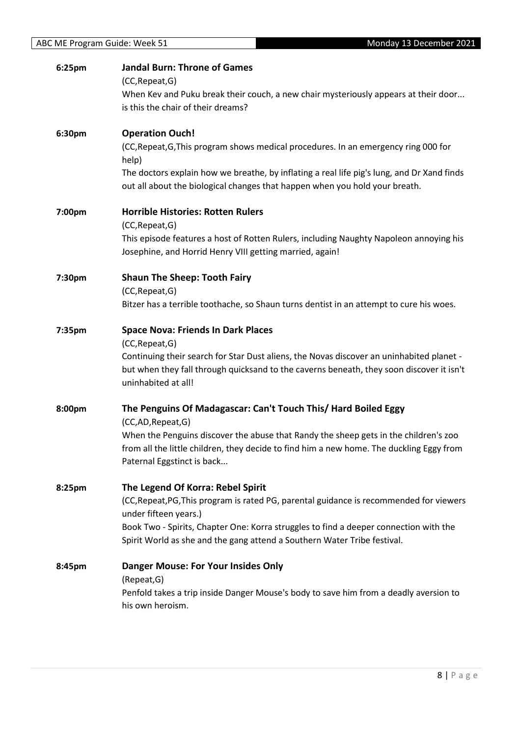| 6:25pm | <b>Jandal Burn: Throne of Games</b><br>(CC, Repeat, G)                                                                                                                    |
|--------|---------------------------------------------------------------------------------------------------------------------------------------------------------------------------|
|        | When Kev and Puku break their couch, a new chair mysteriously appears at their door                                                                                       |
|        | is this the chair of their dreams?                                                                                                                                        |
| 6:30pm | <b>Operation Ouch!</b>                                                                                                                                                    |
|        | (CC, Repeat, G, This program shows medical procedures. In an emergency ring 000 for<br>help)                                                                              |
|        | The doctors explain how we breathe, by inflating a real life pig's lung, and Dr Xand finds<br>out all about the biological changes that happen when you hold your breath. |
| 7:00pm | <b>Horrible Histories: Rotten Rulers</b><br>(CC, Repeat, G)                                                                                                               |
|        | This episode features a host of Rotten Rulers, including Naughty Napoleon annoying his<br>Josephine, and Horrid Henry VIII getting married, again!                        |
| 7:30pm | <b>Shaun The Sheep: Tooth Fairy</b><br>(CC, Repeat, G)                                                                                                                    |
|        | Bitzer has a terrible toothache, so Shaun turns dentist in an attempt to cure his woes.                                                                                   |
| 7:35pm | <b>Space Nova: Friends In Dark Places</b>                                                                                                                                 |
|        | (CC, Repeat, G)<br>Continuing their search for Star Dust aliens, the Novas discover an uninhabited planet -                                                               |
|        | but when they fall through quicksand to the caverns beneath, they soon discover it isn't<br>uninhabited at all!                                                           |
| 8:00pm | The Penguins Of Madagascar: Can't Touch This/ Hard Boiled Eggy<br>(CC,AD,Repeat,G)                                                                                        |
|        | When the Penguins discover the abuse that Randy the sheep gets in the children's zoo                                                                                      |
|        | from all the little children, they decide to find him a new home. The duckling Eggy from<br>Paternal Eggstinct is back                                                    |
| 8:25pm | The Legend Of Korra: Rebel Spirit                                                                                                                                         |
|        | (CC, Repeat, PG, This program is rated PG, parental guidance is recommended for viewers<br>under fifteen years.)                                                          |
|        | Book Two - Spirits, Chapter One: Korra struggles to find a deeper connection with the<br>Spirit World as she and the gang attend a Southern Water Tribe festival.         |
| 8:45pm | <b>Danger Mouse: For Your Insides Only</b>                                                                                                                                |
|        | (Repeat, G)<br>Penfold takes a trip inside Danger Mouse's body to save him from a deadly aversion to                                                                      |
|        | his own heroism.                                                                                                                                                          |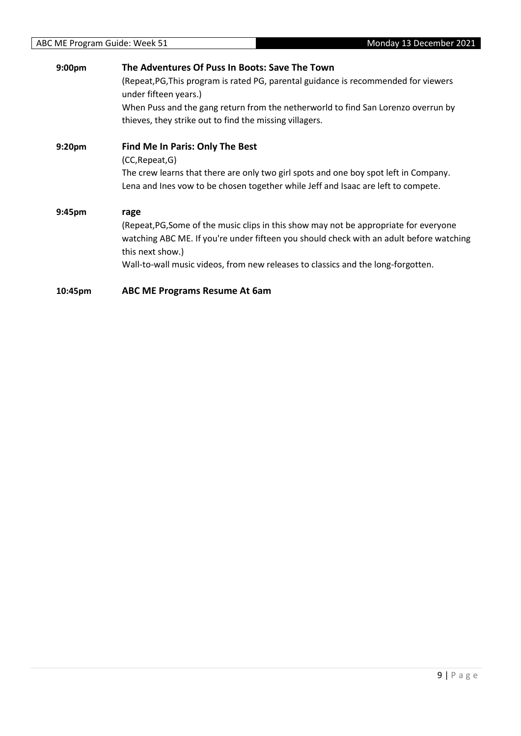| 9:00 <sub>pm</sub> | The Adventures Of Puss In Boots: Save The Town                                                                                               |
|--------------------|----------------------------------------------------------------------------------------------------------------------------------------------|
|                    | (Repeat, PG, This program is rated PG, parental guidance is recommended for viewers<br>under fifteen years.)                                 |
|                    | When Puss and the gang return from the netherworld to find San Lorenzo overrun by<br>thieves, they strike out to find the missing villagers. |
| 9:20 <sub>pm</sub> | Find Me In Paris: Only The Best                                                                                                              |
|                    | (CC, Repeat, G)                                                                                                                              |
|                    | The crew learns that there are only two girl spots and one boy spot left in Company.                                                         |
|                    | Lena and Ines vow to be chosen together while Jeff and Isaac are left to compete.                                                            |
| 9:45pm             | rage                                                                                                                                         |
|                    | (Repeat, PG, Some of the music clips in this show may not be appropriate for everyone                                                        |
|                    | watching ABC ME. If you're under fifteen you should check with an adult before watching<br>this next show.)                                  |
|                    | Wall-to-wall music videos, from new releases to classics and the long-forgotten.                                                             |
| 10:45pm            | <b>ABC ME Programs Resume At 6am</b>                                                                                                         |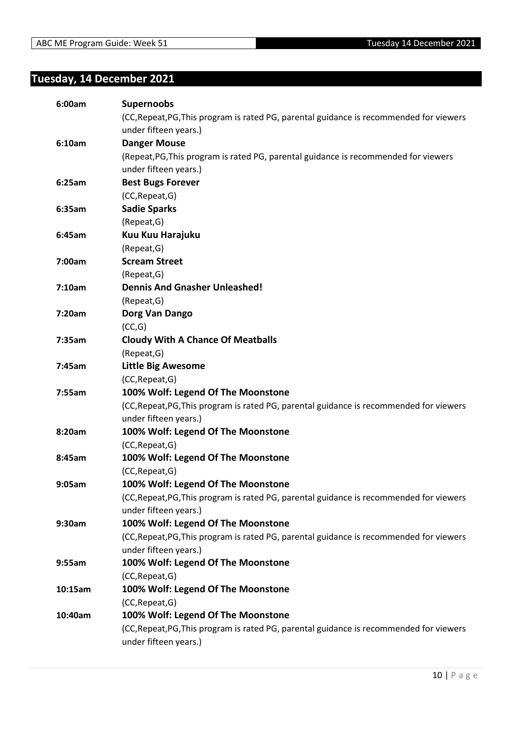# <span id="page-9-0"></span>**Tuesday, 14 December 2021**

| 6:00am  | <b>Supernoobs</b>                                                                       |
|---------|-----------------------------------------------------------------------------------------|
|         | (CC, Repeat, PG, This program is rated PG, parental guidance is recommended for viewers |
|         | under fifteen years.)                                                                   |
| 6:10am  | <b>Danger Mouse</b>                                                                     |
|         | (Repeat, PG, This program is rated PG, parental guidance is recommended for viewers     |
|         | under fifteen years.)                                                                   |
| 6:25am  | <b>Best Bugs Forever</b>                                                                |
|         | (CC, Repeat, G)                                                                         |
| 6:35am  | <b>Sadie Sparks</b>                                                                     |
|         | (Repeat, G)                                                                             |
| 6:45am  | Kuu Kuu Harajuku                                                                        |
|         | (Repeat, G)                                                                             |
| 7:00am  | <b>Scream Street</b>                                                                    |
|         | (Repeat, G)                                                                             |
| 7:10am  | <b>Dennis And Gnasher Unleashed!</b>                                                    |
|         | (Repeat, G)                                                                             |
| 7:20am  | Dorg Van Dango                                                                          |
|         | (CC,G)                                                                                  |
| 7:35am  | <b>Cloudy With A Chance Of Meatballs</b>                                                |
|         | (Repeat, G)                                                                             |
| 7:45am  | <b>Little Big Awesome</b>                                                               |
|         | (CC, Repeat, G)                                                                         |
| 7:55am  | 100% Wolf: Legend Of The Moonstone                                                      |
|         | (CC, Repeat, PG, This program is rated PG, parental guidance is recommended for viewers |
|         | under fifteen years.)                                                                   |
| 8:20am  | 100% Wolf: Legend Of The Moonstone                                                      |
|         | (CC, Repeat, G)                                                                         |
| 8:45am  | 100% Wolf: Legend Of The Moonstone                                                      |
|         | (CC, Repeat, G)                                                                         |
| 9:05am  | 100% Wolf: Legend Of The Moonstone                                                      |
|         | (CC, Repeat, PG, This program is rated PG, parental guidance is recommended for viewers |
|         | under fifteen years.)                                                                   |
| 9:30am  | 100% Wolf: Legend Of The Moonstone                                                      |
|         | (CC, Repeat, PG, This program is rated PG, parental guidance is recommended for viewers |
|         | under fifteen years.)                                                                   |
| 9:55am  | 100% Wolf: Legend Of The Moonstone                                                      |
|         | (CC, Repeat, G)                                                                         |
| 10:15am | 100% Wolf: Legend Of The Moonstone                                                      |
|         | (CC, Repeat, G)                                                                         |
| 10:40am | 100% Wolf: Legend Of The Moonstone                                                      |
|         | (CC, Repeat, PG, This program is rated PG, parental guidance is recommended for viewers |
|         | under fifteen years.)                                                                   |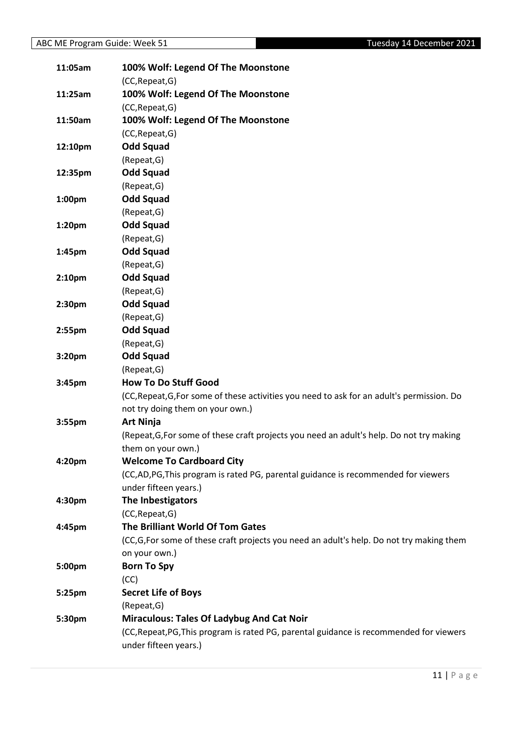| 11:05am            | 100% Wolf: Legend Of The Moonstone                                                         |
|--------------------|--------------------------------------------------------------------------------------------|
|                    | (CC, Repeat, G)                                                                            |
| 11:25am            | 100% Wolf: Legend Of The Moonstone                                                         |
|                    | (CC, Repeat, G)                                                                            |
| 11:50am            | 100% Wolf: Legend Of The Moonstone                                                         |
|                    | (CC, Repeat, G)                                                                            |
| 12:10pm            | <b>Odd Squad</b>                                                                           |
|                    | (Repeat, G)                                                                                |
| 12:35pm            | <b>Odd Squad</b>                                                                           |
|                    | (Repeat, G)                                                                                |
| 1:00pm             | <b>Odd Squad</b>                                                                           |
|                    | (Repeat, G)                                                                                |
| 1:20pm             | <b>Odd Squad</b>                                                                           |
|                    | (Repeat, G)                                                                                |
| 1:45pm             | <b>Odd Squad</b>                                                                           |
|                    | (Repeat, G)                                                                                |
| 2:10pm             | <b>Odd Squad</b>                                                                           |
|                    | (Repeat, G)                                                                                |
| 2:30 <sub>pm</sub> | <b>Odd Squad</b>                                                                           |
|                    | (Repeat, G)                                                                                |
| 2:55pm             | <b>Odd Squad</b>                                                                           |
|                    | (Repeat, G)                                                                                |
| 3:20pm             | <b>Odd Squad</b>                                                                           |
|                    | (Repeat, G)                                                                                |
| 3:45pm             | <b>How To Do Stuff Good</b>                                                                |
|                    | (CC, Repeat, G, For some of these activities you need to ask for an adult's permission. Do |
|                    | not try doing them on your own.)                                                           |
| 3:55pm             | <b>Art Ninja</b>                                                                           |
|                    | (Repeat, G, For some of these craft projects you need an adult's help. Do not try making   |
|                    | them on your own.)                                                                         |
| 4:20pm             | <b>Welcome To Cardboard City</b>                                                           |
|                    | (CC,AD,PG,This program is rated PG, parental guidance is recommended for viewers           |
|                    | under fifteen years.)                                                                      |
| 4:30pm             | The Inbestigators                                                                          |
|                    | (CC, Repeat, G)                                                                            |
| 4:45pm             | The Brilliant World Of Tom Gates                                                           |
|                    | (CC,G,For some of these craft projects you need an adult's help. Do not try making them    |
|                    | on your own.)                                                                              |
| 5:00pm             | <b>Born To Spy</b>                                                                         |
|                    | (CC)                                                                                       |
| 5:25pm             | <b>Secret Life of Boys</b>                                                                 |
|                    | (Repeat, G)                                                                                |
| 5:30pm             | <b>Miraculous: Tales Of Ladybug And Cat Noir</b>                                           |
|                    | (CC, Repeat, PG, This program is rated PG, parental guidance is recommended for viewers    |
|                    | under fifteen years.)                                                                      |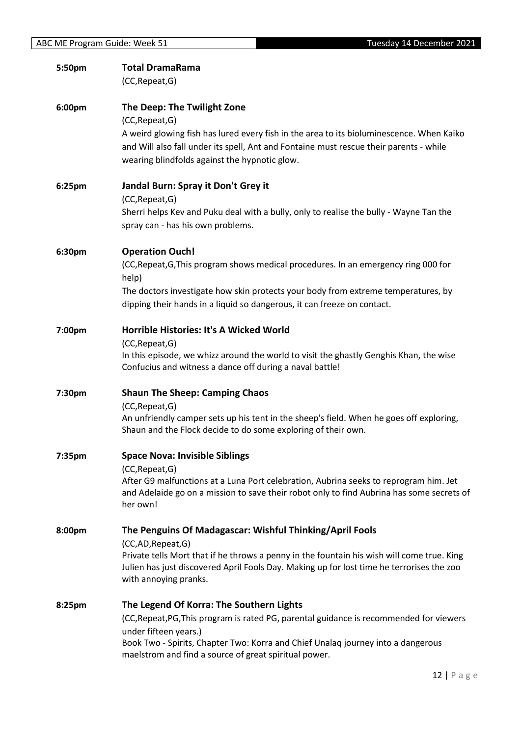| 5:50pm | <b>Total DramaRama</b><br>(CC, Repeat, G)                                                                                                                                                                                                                                                                 |
|--------|-----------------------------------------------------------------------------------------------------------------------------------------------------------------------------------------------------------------------------------------------------------------------------------------------------------|
| 6:00pm | The Deep: The Twilight Zone<br>(CC, Repeat, G)                                                                                                                                                                                                                                                            |
|        | A weird glowing fish has lured every fish in the area to its bioluminescence. When Kaiko<br>and Will also fall under its spell, Ant and Fontaine must rescue their parents - while<br>wearing blindfolds against the hypnotic glow.                                                                       |
| 6:25pm | Jandal Burn: Spray it Don't Grey it<br>(CC, Repeat, G)                                                                                                                                                                                                                                                    |
|        | Sherri helps Kev and Puku deal with a bully, only to realise the bully - Wayne Tan the<br>spray can - has his own problems.                                                                                                                                                                               |
| 6:30pm | <b>Operation Ouch!</b><br>(CC, Repeat, G, This program shows medical procedures. In an emergency ring 000 for                                                                                                                                                                                             |
|        | help)<br>The doctors investigate how skin protects your body from extreme temperatures, by<br>dipping their hands in a liquid so dangerous, it can freeze on contact.                                                                                                                                     |
| 7:00pm | Horrible Histories: It's A Wicked World<br>(CC, Repeat, G)<br>In this episode, we whizz around the world to visit the ghastly Genghis Khan, the wise<br>Confucius and witness a dance off during a naval battle!                                                                                          |
| 7:30pm | <b>Shaun The Sheep: Camping Chaos</b><br>(CC, Repeat, G)<br>An unfriendly camper sets up his tent in the sheep's field. When he goes off exploring,<br>Shaun and the Flock decide to do some exploring of their own.                                                                                      |
| 7:35pm | <b>Space Nova: Invisible Siblings</b><br>(CC, Repeat, G)<br>After G9 malfunctions at a Luna Port celebration, Aubrina seeks to reprogram him. Jet<br>and Adelaide go on a mission to save their robot only to find Aubrina has some secrets of<br>her own!                                                |
| 8:00pm | The Penguins Of Madagascar: Wishful Thinking/April Fools<br>(CC,AD,Repeat,G)<br>Private tells Mort that if he throws a penny in the fountain his wish will come true. King<br>Julien has just discovered April Fools Day. Making up for lost time he terrorises the zoo<br>with annoying pranks.          |
| 8:25pm | The Legend Of Korra: The Southern Lights<br>(CC, Repeat, PG, This program is rated PG, parental guidance is recommended for viewers<br>under fifteen years.)<br>Book Two - Spirits, Chapter Two: Korra and Chief Unalaq journey into a dangerous<br>maelstrom and find a source of great spiritual power. |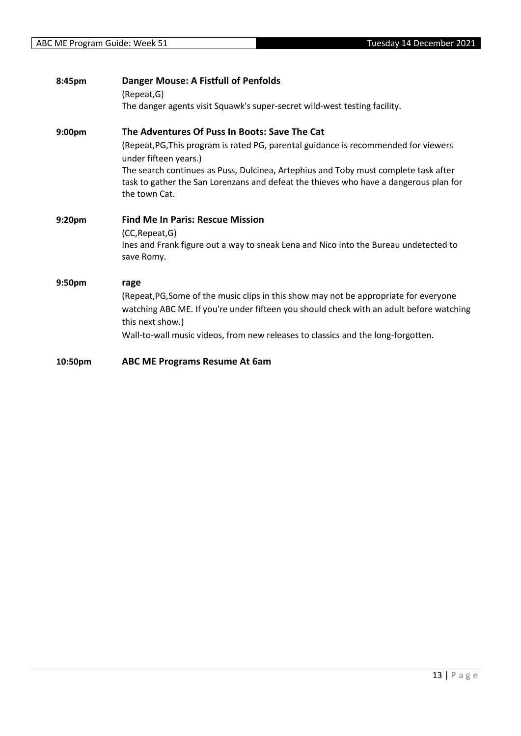| 8:45pm             | <b>Danger Mouse: A Fistfull of Penfolds</b><br>(Repeat, G)                                                                                                                                                                                                                                       |
|--------------------|--------------------------------------------------------------------------------------------------------------------------------------------------------------------------------------------------------------------------------------------------------------------------------------------------|
|                    | The danger agents visit Squawk's super-secret wild-west testing facility.                                                                                                                                                                                                                        |
| 9:00 <sub>pm</sub> | The Adventures Of Puss In Boots: Save The Cat<br>(Repeat, PG, This program is rated PG, parental guidance is recommended for viewers                                                                                                                                                             |
|                    | under fifteen years.)<br>The search continues as Puss, Dulcinea, Artephius and Toby must complete task after<br>task to gather the San Lorenzans and defeat the thieves who have a dangerous plan for<br>the town Cat.                                                                           |
| 9:20 <sub>pm</sub> | <b>Find Me In Paris: Rescue Mission</b><br>(CC, Repeat, G)<br>Ines and Frank figure out a way to sneak Lena and Nico into the Bureau undetected to<br>save Romy.                                                                                                                                 |
| 9:50pm             | rage<br>(Repeat, PG, Some of the music clips in this show may not be appropriate for everyone<br>watching ABC ME. If you're under fifteen you should check with an adult before watching<br>this next show.)<br>Wall-to-wall music videos, from new releases to classics and the long-forgotten. |
| 10:50pm            | <b>ABC ME Programs Resume At 6am</b>                                                                                                                                                                                                                                                             |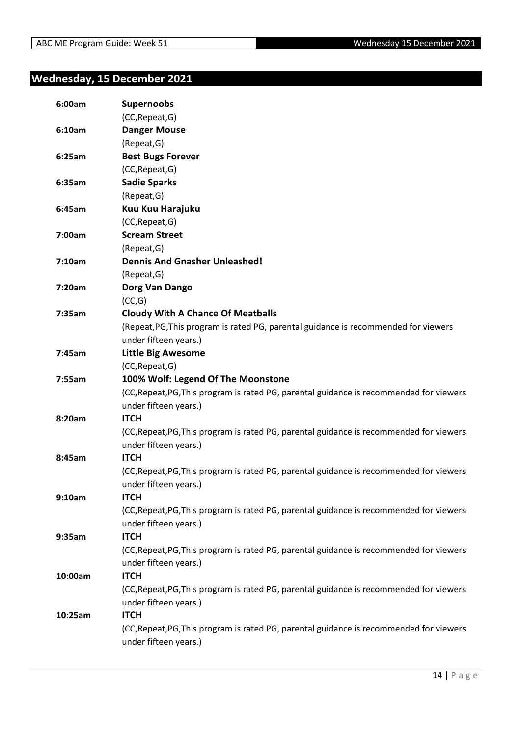## <span id="page-13-0"></span>**Wednesday, 15 December 2021**

| 6:00am  | <b>Supernoobs</b>                                                                       |
|---------|-----------------------------------------------------------------------------------------|
|         | (CC, Repeat, G)                                                                         |
| 6:10am  | <b>Danger Mouse</b>                                                                     |
|         | (Repeat, G)                                                                             |
| 6:25am  | <b>Best Bugs Forever</b>                                                                |
|         | (CC, Repeat, G)                                                                         |
| 6:35am  | <b>Sadie Sparks</b>                                                                     |
|         | (Repeat, G)                                                                             |
| 6:45am  | Kuu Kuu Harajuku                                                                        |
|         | (CC, Repeat, G)                                                                         |
| 7:00am  | <b>Scream Street</b>                                                                    |
|         | (Repeat, G)                                                                             |
| 7:10am  | <b>Dennis And Gnasher Unleashed!</b>                                                    |
|         | (Repeat, G)                                                                             |
| 7:20am  | Dorg Van Dango                                                                          |
|         | (CC,G)                                                                                  |
| 7:35am  | <b>Cloudy With A Chance Of Meatballs</b>                                                |
|         | (Repeat, PG, This program is rated PG, parental guidance is recommended for viewers     |
|         | under fifteen years.)                                                                   |
| 7:45am  | <b>Little Big Awesome</b>                                                               |
|         | (CC, Repeat, G)                                                                         |
| 7:55am  | 100% Wolf: Legend Of The Moonstone                                                      |
|         | (CC, Repeat, PG, This program is rated PG, parental guidance is recommended for viewers |
|         | under fifteen years.)                                                                   |
| 8:20am  | <b>ITCH</b>                                                                             |
|         | (CC, Repeat, PG, This program is rated PG, parental guidance is recommended for viewers |
|         | under fifteen years.)                                                                   |
| 8:45am  | <b>ITCH</b>                                                                             |
|         | (CC, Repeat, PG, This program is rated PG, parental guidance is recommended for viewers |
|         | under fifteen years.)                                                                   |
| 9:10am  | <b>ITCH</b>                                                                             |
|         | (CC, Repeat, PG, This program is rated PG, parental guidance is recommended for viewers |
|         | under fifteen years.)                                                                   |
| 9:35am  | <b>ITCH</b>                                                                             |
|         | (CC, Repeat, PG, This program is rated PG, parental guidance is recommended for viewers |
|         | under fifteen years.)                                                                   |
| 10:00am | <b>ITCH</b>                                                                             |
|         | (CC, Repeat, PG, This program is rated PG, parental guidance is recommended for viewers |
|         | under fifteen years.)                                                                   |
| 10:25am | <b>ITCH</b>                                                                             |
|         | (CC, Repeat, PG, This program is rated PG, parental guidance is recommended for viewers |
|         | under fifteen years.)                                                                   |
|         |                                                                                         |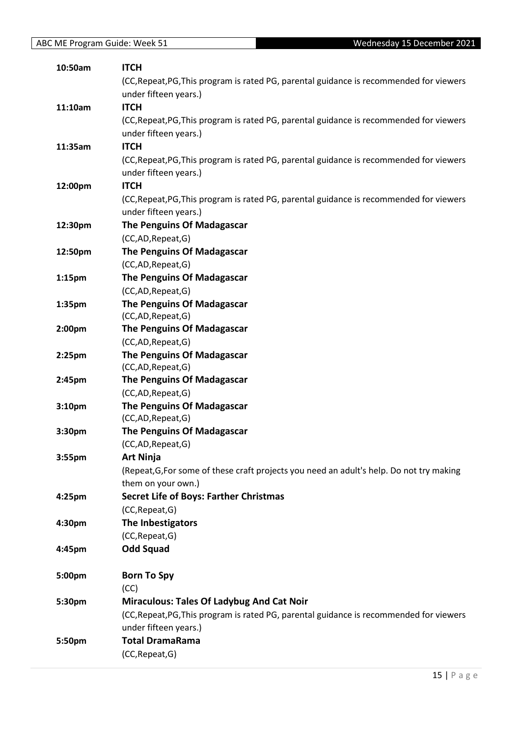| 10:50am            | <b>ITCH</b>                                                                              |
|--------------------|------------------------------------------------------------------------------------------|
|                    | (CC, Repeat, PG, This program is rated PG, parental guidance is recommended for viewers  |
|                    | under fifteen years.)                                                                    |
| 11:10am            | <b>ITCH</b>                                                                              |
|                    | (CC, Repeat, PG, This program is rated PG, parental guidance is recommended for viewers  |
|                    | under fifteen years.)                                                                    |
| 11:35am            | <b>ITCH</b>                                                                              |
|                    | (CC, Repeat, PG, This program is rated PG, parental guidance is recommended for viewers  |
|                    | under fifteen years.)                                                                    |
| 12:00pm            | <b>ITCH</b>                                                                              |
|                    | (CC, Repeat, PG, This program is rated PG, parental guidance is recommended for viewers  |
|                    | under fifteen years.)                                                                    |
| 12:30pm            | <b>The Penguins Of Madagascar</b>                                                        |
|                    | (CC,AD,Repeat,G)                                                                         |
| 12:50pm            | <b>The Penguins Of Madagascar</b>                                                        |
|                    | (CC,AD,Repeat,G)                                                                         |
| 1:15 <sub>pm</sub> | The Penguins Of Madagascar                                                               |
|                    | (CC,AD,Repeat,G)                                                                         |
| 1:35pm             | The Penguins Of Madagascar                                                               |
|                    | (CC,AD, Repeat, G)                                                                       |
| 2:00 <sub>pm</sub> | <b>The Penguins Of Madagascar</b>                                                        |
|                    | (CC,AD, Repeat, G)                                                                       |
| $2:25$ pm          | The Penguins Of Madagascar                                                               |
|                    | (CC,AD,Repeat,G)                                                                         |
| 2:45pm             | <b>The Penguins Of Madagascar</b>                                                        |
|                    | (CC,AD, Repeat, G)                                                                       |
| 3:10pm             | The Penguins Of Madagascar                                                               |
|                    | (CC,AD,Repeat,G)<br>The Penguins Of Madagascar                                           |
| 3:30pm             | (CC,AD, Repeat, G)                                                                       |
| 3:55pm             | <b>Art Ninja</b>                                                                         |
|                    | (Repeat, G, For some of these craft projects you need an adult's help. Do not try making |
|                    | them on your own.)                                                                       |
| 4:25pm             | <b>Secret Life of Boys: Farther Christmas</b>                                            |
|                    | (CC, Repeat, G)                                                                          |
| 4:30pm             | The Inbestigators                                                                        |
|                    | (CC, Repeat, G)                                                                          |
| 4:45pm             | <b>Odd Squad</b>                                                                         |
|                    |                                                                                          |
| 5:00pm             | <b>Born To Spy</b>                                                                       |
|                    | (CC)                                                                                     |
| 5:30pm             | <b>Miraculous: Tales Of Ladybug And Cat Noir</b>                                         |
|                    | (CC, Repeat, PG, This program is rated PG, parental guidance is recommended for viewers  |
|                    | under fifteen years.)                                                                    |
| 5:50pm             | <b>Total DramaRama</b>                                                                   |
|                    | (CC, Repeat, G)                                                                          |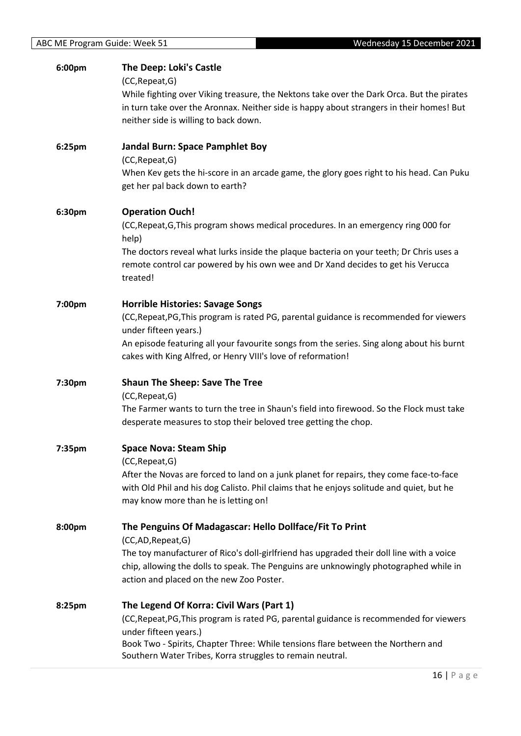| 6:00pm | The Deep: Loki's Castle<br>(CC, Repeat, G)<br>While fighting over Viking treasure, the Nektons take over the Dark Orca. But the pirates<br>in turn take over the Aronnax. Neither side is happy about strangers in their homes! But<br>neither side is willing to back down. |
|--------|------------------------------------------------------------------------------------------------------------------------------------------------------------------------------------------------------------------------------------------------------------------------------|
| 6:25pm | Jandal Burn: Space Pamphlet Boy<br>(CC, Repeat, G)                                                                                                                                                                                                                           |
|        | When Kev gets the hi-score in an arcade game, the glory goes right to his head. Can Puku<br>get her pal back down to earth?                                                                                                                                                  |
| 6:30pm | <b>Operation Ouch!</b>                                                                                                                                                                                                                                                       |
|        | (CC, Repeat, G, This program shows medical procedures. In an emergency ring 000 for<br>help)                                                                                                                                                                                 |
|        | The doctors reveal what lurks inside the plaque bacteria on your teeth; Dr Chris uses a<br>remote control car powered by his own wee and Dr Xand decides to get his Verucca<br>treated!                                                                                      |
| 7:00pm | <b>Horrible Histories: Savage Songs</b>                                                                                                                                                                                                                                      |
|        | (CC, Repeat, PG, This program is rated PG, parental guidance is recommended for viewers<br>under fifteen years.)                                                                                                                                                             |
|        | An episode featuring all your favourite songs from the series. Sing along about his burnt<br>cakes with King Alfred, or Henry VIII's love of reformation!                                                                                                                    |
| 7:30pm | <b>Shaun The Sheep: Save The Tree</b>                                                                                                                                                                                                                                        |
|        | (CC, Repeat, G)                                                                                                                                                                                                                                                              |
|        | The Farmer wants to turn the tree in Shaun's field into firewood. So the Flock must take<br>desperate measures to stop their beloved tree getting the chop.                                                                                                                  |
| 7:35pm | <b>Space Nova: Steam Ship</b>                                                                                                                                                                                                                                                |
|        | (CC, Repeat, G)<br>After the Novas are forced to land on a junk planet for repairs, they come face-to-face                                                                                                                                                                   |
|        | with Old Phil and his dog Calisto. Phil claims that he enjoys solitude and quiet, but he<br>may know more than he is letting on!                                                                                                                                             |
| 8:00pm | The Penguins Of Madagascar: Hello Dollface/Fit To Print<br>(CC,AD, Repeat, G)                                                                                                                                                                                                |
|        | The toy manufacturer of Rico's doll-girlfriend has upgraded their doll line with a voice<br>chip, allowing the dolls to speak. The Penguins are unknowingly photographed while in<br>action and placed on the new Zoo Poster.                                                |
| 8:25pm | The Legend Of Korra: Civil Wars (Part 1)                                                                                                                                                                                                                                     |
|        | (CC, Repeat, PG, This program is rated PG, parental guidance is recommended for viewers<br>under fifteen years.)                                                                                                                                                             |
|        | Book Two - Spirits, Chapter Three: While tensions flare between the Northern and<br>Southern Water Tribes, Korra struggles to remain neutral.                                                                                                                                |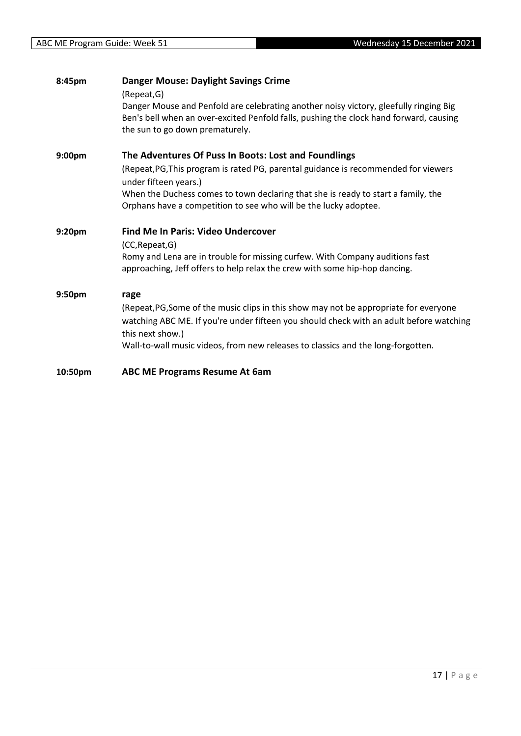| 8:45pm  | <b>Danger Mouse: Daylight Savings Crime</b><br>(Repeat, G)                                                                                                                                                         |
|---------|--------------------------------------------------------------------------------------------------------------------------------------------------------------------------------------------------------------------|
|         | Danger Mouse and Penfold are celebrating another noisy victory, gleefully ringing Big<br>Ben's bell when an over-excited Penfold falls, pushing the clock hand forward, causing<br>the sun to go down prematurely. |
| 9:00pm  | The Adventures Of Puss In Boots: Lost and Foundlings                                                                                                                                                               |
|         | (Repeat, PG, This program is rated PG, parental guidance is recommended for viewers<br>under fifteen years.)                                                                                                       |
|         | When the Duchess comes to town declaring that she is ready to start a family, the<br>Orphans have a competition to see who will be the lucky adoptee.                                                              |
| 9:20pm  | <b>Find Me In Paris: Video Undercover</b>                                                                                                                                                                          |
|         | (CC, Repeat, G)                                                                                                                                                                                                    |
|         | Romy and Lena are in trouble for missing curfew. With Company auditions fast<br>approaching, Jeff offers to help relax the crew with some hip-hop dancing.                                                         |
| 9:50pm  | rage                                                                                                                                                                                                               |
|         | (Repeat, PG, Some of the music clips in this show may not be appropriate for everyone                                                                                                                              |
|         | watching ABC ME. If you're under fifteen you should check with an adult before watching<br>this next show.)                                                                                                        |
|         | Wall-to-wall music videos, from new releases to classics and the long-forgotten.                                                                                                                                   |
| 10:50pm | <b>ABC ME Programs Resume At 6am</b>                                                                                                                                                                               |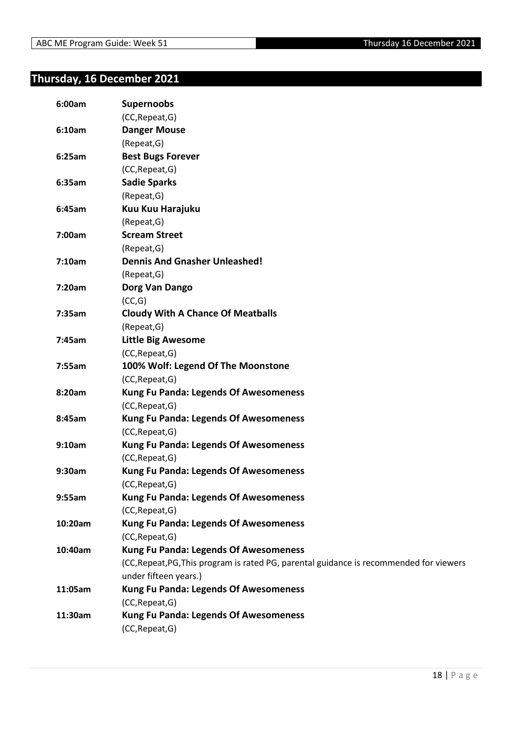## <span id="page-17-0"></span>**Thursday, 16 December 2021**

| 6:00am  | <b>Supernoobs</b>                                                                       |
|---------|-----------------------------------------------------------------------------------------|
|         | (CC, Repeat, G)                                                                         |
| 6:10am  | <b>Danger Mouse</b>                                                                     |
|         | (Repeat, G)                                                                             |
| 6:25am  | <b>Best Bugs Forever</b>                                                                |
|         | (CC, Repeat, G)                                                                         |
| 6:35am  | <b>Sadie Sparks</b>                                                                     |
|         | (Repeat, G)                                                                             |
| 6:45am  | Kuu Kuu Harajuku                                                                        |
|         | (Repeat, G)                                                                             |
| 7:00am  | <b>Scream Street</b>                                                                    |
|         | (Repeat, G)                                                                             |
| 7:10am  | <b>Dennis And Gnasher Unleashed!</b>                                                    |
|         | (Repeat, G)                                                                             |
| 7:20am  | Dorg Van Dango                                                                          |
|         | (CC,G)                                                                                  |
| 7:35am  | <b>Cloudy With A Chance Of Meatballs</b>                                                |
|         | (Repeat, G)                                                                             |
| 7:45am  | <b>Little Big Awesome</b>                                                               |
|         | (CC, Repeat, G)                                                                         |
| 7:55am  | 100% Wolf: Legend Of The Moonstone                                                      |
|         | (CC, Repeat, G)                                                                         |
| 8:20am  | <b>Kung Fu Panda: Legends Of Awesomeness</b>                                            |
|         | (CC, Repeat, G)                                                                         |
| 8:45am  | <b>Kung Fu Panda: Legends Of Awesomeness</b>                                            |
|         | (CC, Repeat, G)                                                                         |
| 9:10am  | <b>Kung Fu Panda: Legends Of Awesomeness</b>                                            |
|         | (CC, Repeat, G)                                                                         |
| 9:30am  | <b>Kung Fu Panda: Legends Of Awesomeness</b>                                            |
|         | (CC, Repeat, G)                                                                         |
| 9:55am  | <b>Kung Fu Panda: Legends Of Awesomeness</b>                                            |
|         | (CC, Repeat, G)                                                                         |
| 10:20am | <b>Kung Fu Panda: Legends Of Awesomeness</b>                                            |
|         | (CC, Repeat, G)                                                                         |
| 10:40am | <b>Kung Fu Panda: Legends Of Awesomeness</b>                                            |
|         | (CC, Repeat, PG, This program is rated PG, parental guidance is recommended for viewers |
|         | under fifteen years.)                                                                   |
| 11:05am | <b>Kung Fu Panda: Legends Of Awesomeness</b>                                            |
|         | (CC, Repeat, G)                                                                         |
| 11:30am | <b>Kung Fu Panda: Legends Of Awesomeness</b>                                            |
|         | (CC, Repeat, G)                                                                         |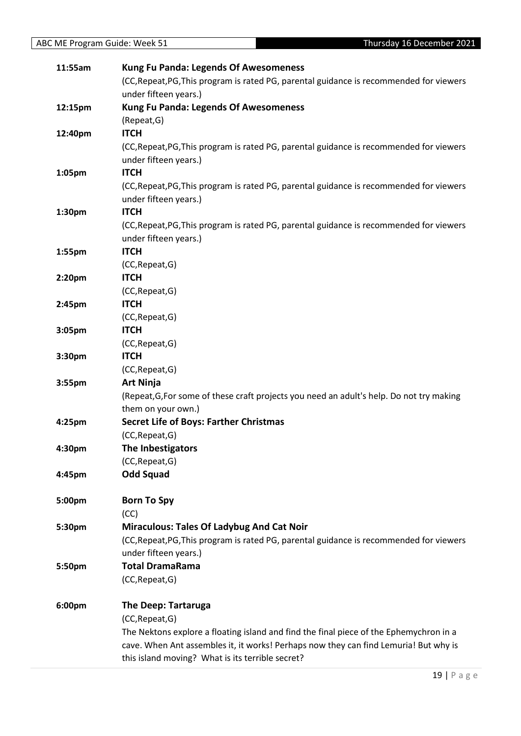| 11:55am | <b>Kung Fu Panda: Legends Of Awesomeness</b>                                             |
|---------|------------------------------------------------------------------------------------------|
|         | (CC, Repeat, PG, This program is rated PG, parental guidance is recommended for viewers  |
|         | under fifteen years.)                                                                    |
| 12:15pm | <b>Kung Fu Panda: Legends Of Awesomeness</b>                                             |
|         | (Repeat, G)                                                                              |
| 12:40pm | <b>ITCH</b>                                                                              |
|         | (CC, Repeat, PG, This program is rated PG, parental guidance is recommended for viewers  |
|         | under fifteen years.)                                                                    |
| 1:05pm  | <b>ITCH</b>                                                                              |
|         | (CC, Repeat, PG, This program is rated PG, parental guidance is recommended for viewers  |
|         | under fifteen years.)                                                                    |
| 1:30pm  | <b>ITCH</b>                                                                              |
|         | (CC, Repeat, PG, This program is rated PG, parental guidance is recommended for viewers  |
|         | under fifteen years.)                                                                    |
| 1:55pm  | <b>ITCH</b>                                                                              |
|         | (CC, Repeat, G)                                                                          |
| 2:20pm  | <b>ITCH</b>                                                                              |
|         | (CC, Repeat, G)                                                                          |
| 2:45pm  | <b>ITCH</b>                                                                              |
|         | (CC, Repeat, G)                                                                          |
| 3:05pm  | <b>ITCH</b>                                                                              |
|         | (CC, Repeat, G)                                                                          |
| 3:30pm  | <b>ITCH</b>                                                                              |
|         | (CC, Repeat, G)                                                                          |
| 3:55pm  | <b>Art Ninja</b>                                                                         |
|         | (Repeat, G, For some of these craft projects you need an adult's help. Do not try making |
|         | them on your own.)                                                                       |
| 4:25pm  | <b>Secret Life of Boys: Farther Christmas</b>                                            |
|         | (CC, Repeat, G)                                                                          |
| 4:30pm  | The Inbestigators                                                                        |
|         | (CC, Repeat, G)                                                                          |
| 4:45pm  | <b>Odd Squad</b>                                                                         |
|         |                                                                                          |
| 5:00pm  | <b>Born To Spy</b><br>(CC)                                                               |
| 5:30pm  | <b>Miraculous: Tales Of Ladybug And Cat Noir</b>                                         |
|         | (CC, Repeat, PG, This program is rated PG, parental guidance is recommended for viewers  |
|         | under fifteen years.)                                                                    |
| 5:50pm  | <b>Total DramaRama</b>                                                                   |
|         | (CC, Repeat, G)                                                                          |
|         |                                                                                          |
| 6:00pm  | <b>The Deep: Tartaruga</b>                                                               |
|         | (CC, Repeat, G)                                                                          |
|         | The Nektons explore a floating island and find the final piece of the Ephemychron in a   |
|         | cave. When Ant assembles it, it works! Perhaps now they can find Lemuria! But why is     |
|         | this island moving? What is its terrible secret?                                         |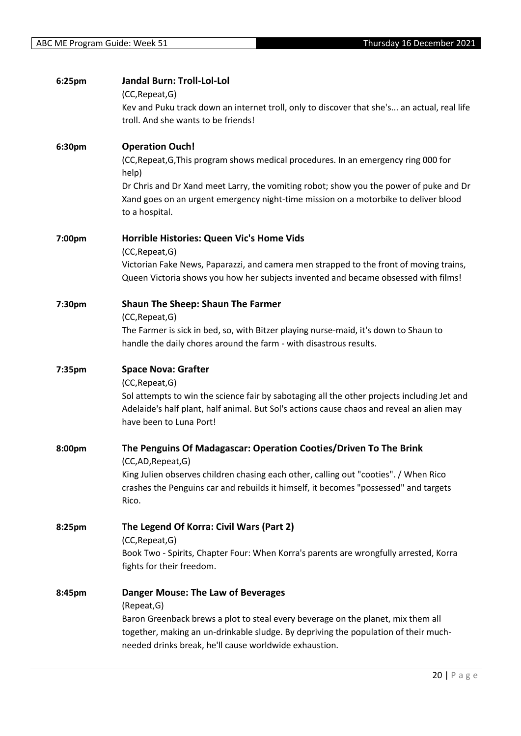| 6:25pm | <b>Jandal Burn: Troll-Lol-Lol</b><br>(CC, Repeat, G)<br>Kev and Puku track down an internet troll, only to discover that she's an actual, real life                                                                               |
|--------|-----------------------------------------------------------------------------------------------------------------------------------------------------------------------------------------------------------------------------------|
|        | troll. And she wants to be friends!                                                                                                                                                                                               |
| 6:30pm | <b>Operation Ouch!</b>                                                                                                                                                                                                            |
|        | (CC, Repeat, G, This program shows medical procedures. In an emergency ring 000 for<br>help)                                                                                                                                      |
|        | Dr Chris and Dr Xand meet Larry, the vomiting robot; show you the power of puke and Dr<br>Xand goes on an urgent emergency night-time mission on a motorbike to deliver blood<br>to a hospital.                                   |
| 7:00pm | Horrible Histories: Queen Vic's Home Vids<br>(CC, Repeat, G)                                                                                                                                                                      |
|        | Victorian Fake News, Paparazzi, and camera men strapped to the front of moving trains,<br>Queen Victoria shows you how her subjects invented and became obsessed with films!                                                      |
| 7:30pm | <b>Shaun The Sheep: Shaun The Farmer</b>                                                                                                                                                                                          |
|        | (CC, Repeat, G)<br>The Farmer is sick in bed, so, with Bitzer playing nurse-maid, it's down to Shaun to                                                                                                                           |
|        | handle the daily chores around the farm - with disastrous results.                                                                                                                                                                |
| 7:35pm | <b>Space Nova: Grafter</b><br>(CC, Repeat, G)                                                                                                                                                                                     |
|        | Sol attempts to win the science fair by sabotaging all the other projects including Jet and<br>Adelaide's half plant, half animal. But Sol's actions cause chaos and reveal an alien may<br>have been to Luna Port!               |
| 8:00pm | The Penguins Of Madagascar: Operation Cooties/Driven To The Brink<br>(CC,AD, Repeat, G)                                                                                                                                           |
|        | King Julien observes children chasing each other, calling out "cooties". / When Rico<br>crashes the Penguins car and rebuilds it himself, it becomes "possessed" and targets                                                      |
|        | Rico.                                                                                                                                                                                                                             |
| 8:25pm | The Legend Of Korra: Civil Wars (Part 2)<br>(CC, Repeat, G)                                                                                                                                                                       |
|        | Book Two - Spirits, Chapter Four: When Korra's parents are wrongfully arrested, Korra<br>fights for their freedom.                                                                                                                |
| 8:45pm | <b>Danger Mouse: The Law of Beverages</b><br>(Repeat, G)                                                                                                                                                                          |
|        | Baron Greenback brews a plot to steal every beverage on the planet, mix them all<br>together, making an un-drinkable sludge. By depriving the population of their much-<br>needed drinks break, he'll cause worldwide exhaustion. |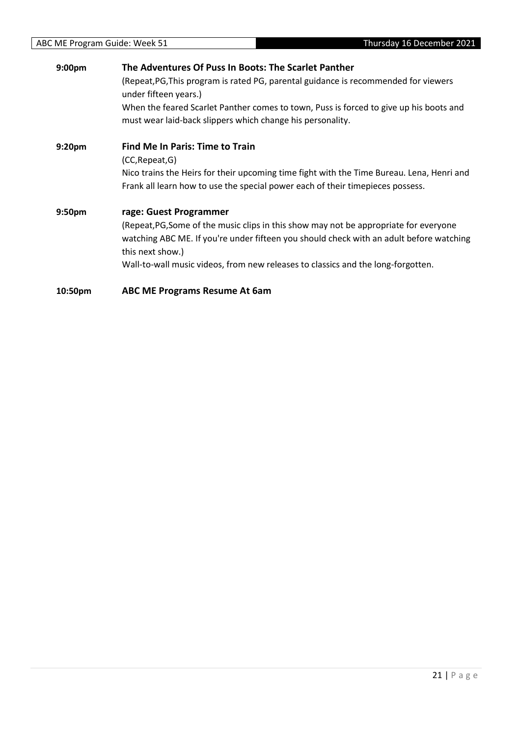| 9:00 <sub>pm</sub> | The Adventures Of Puss In Boots: The Scarlet Panther                                                                                                 |  |
|--------------------|------------------------------------------------------------------------------------------------------------------------------------------------------|--|
|                    | (Repeat, PG, This program is rated PG, parental guidance is recommended for viewers<br>under fifteen years.)                                         |  |
|                    | When the feared Scarlet Panther comes to town, Puss is forced to give up his boots and<br>must wear laid-back slippers which change his personality. |  |
| 9:20 <sub>pm</sub> | <b>Find Me In Paris: Time to Train</b>                                                                                                               |  |
|                    | (CC, Repeat, G)                                                                                                                                      |  |
|                    | Nico trains the Heirs for their upcoming time fight with the Time Bureau. Lena, Henri and                                                            |  |
|                    | Frank all learn how to use the special power each of their timepieces possess.                                                                       |  |
| 9:50 <sub>pm</sub> | rage: Guest Programmer                                                                                                                               |  |
|                    | (Repeat, PG, Some of the music clips in this show may not be appropriate for everyone                                                                |  |
|                    | watching ABC ME. If you're under fifteen you should check with an adult before watching<br>this next show.)                                          |  |
|                    | Wall-to-wall music videos, from new releases to classics and the long-forgotten.                                                                     |  |
| 10:50pm            | <b>ABC ME Programs Resume At 6am</b>                                                                                                                 |  |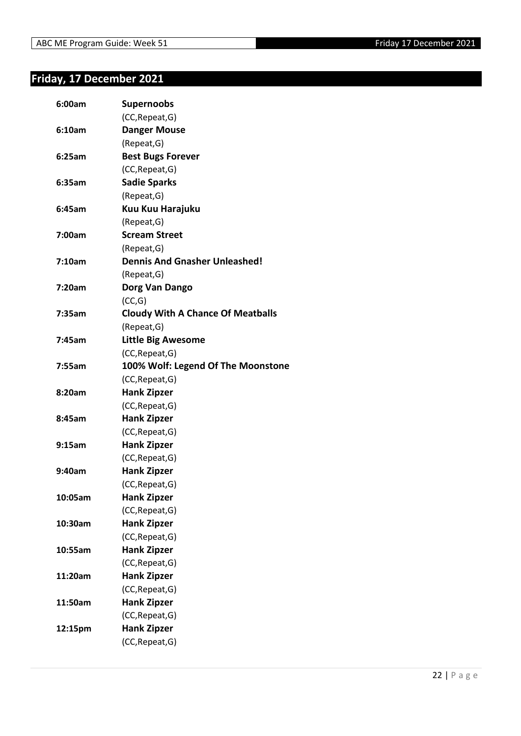## <span id="page-21-0"></span>**Friday, 17 December 2021**

| 6:00am  | <b>Supernoobs</b>                        |
|---------|------------------------------------------|
|         | (CC, Repeat, G)                          |
| 6:10am  | <b>Danger Mouse</b>                      |
|         | (Repeat, G)                              |
| 6:25am  | <b>Best Bugs Forever</b>                 |
|         | (CC, Repeat, G)                          |
| 6:35am  | <b>Sadie Sparks</b>                      |
|         | (Repeat, G)                              |
| 6:45am  | Kuu Kuu Harajuku                         |
|         | (Repeat, G)                              |
| 7:00am  | <b>Scream Street</b>                     |
|         | (Repeat, G)                              |
| 7:10am  | <b>Dennis And Gnasher Unleashed!</b>     |
|         | (Repeat, G)                              |
| 7:20am  | Dorg Van Dango                           |
|         | (CC,G)                                   |
| 7:35am  | <b>Cloudy With A Chance Of Meatballs</b> |
|         | (Repeat, G)                              |
| 7:45am  | <b>Little Big Awesome</b>                |
|         | (CC, Repeat, G)                          |
| 7:55am  | 100% Wolf: Legend Of The Moonstone       |
|         | (CC, Repeat, G)                          |
| 8:20am  | <b>Hank Zipzer</b>                       |
|         | (CC, Repeat, G)                          |
| 8:45am  | <b>Hank Zipzer</b>                       |
|         | (CC, Repeat, G)                          |
| 9:15am  | <b>Hank Zipzer</b>                       |
|         | (CC, Repeat, G)                          |
| 9:40am  | <b>Hank Zipzer</b>                       |
|         | (CC, Repeat, G)                          |
| 10:05am | <b>Hank Zipzer</b>                       |
|         | (CC, Repeat, G)                          |
| 10:30am | <b>Hank Zipzer</b>                       |
|         | (CC, Repeat, G)                          |
| 10:55am | <b>Hank Zipzer</b>                       |
|         | (CC, Repeat, G)                          |
| 11:20am | <b>Hank Zipzer</b>                       |
|         | (CC, Repeat, G)                          |
| 11:50am | <b>Hank Zipzer</b>                       |
|         | (CC, Repeat, G)                          |
| 12:15pm | <b>Hank Zipzer</b>                       |
|         | (CC, Repeat, G)                          |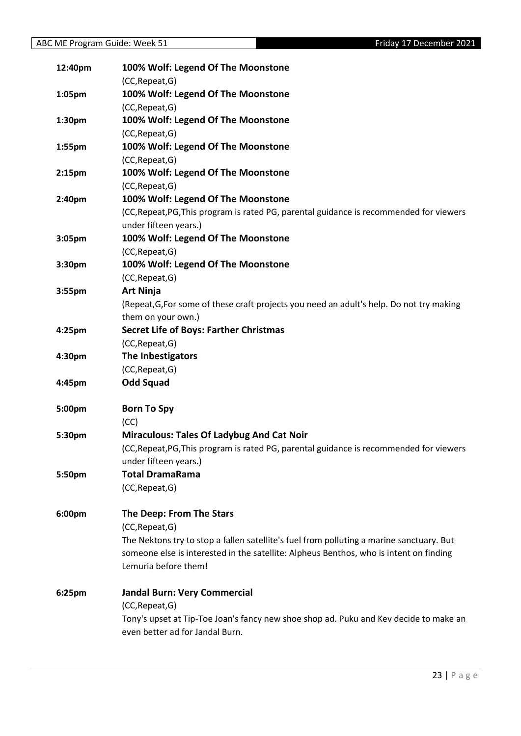| 12:40pm            | 100% Wolf: Legend Of The Moonstone                                                       |
|--------------------|------------------------------------------------------------------------------------------|
|                    | (CC, Repeat, G)                                                                          |
| 1:05pm             | 100% Wolf: Legend Of The Moonstone                                                       |
|                    | (CC, Repeat, G)                                                                          |
| 1:30pm             | 100% Wolf: Legend Of The Moonstone                                                       |
|                    | (CC, Repeat, G)                                                                          |
| 1:55pm             | 100% Wolf: Legend Of The Moonstone                                                       |
|                    | (CC, Repeat, G)                                                                          |
| 2:15 <sub>pm</sub> | 100% Wolf: Legend Of The Moonstone                                                       |
|                    | (CC, Repeat, G)                                                                          |
| 2:40pm             | 100% Wolf: Legend Of The Moonstone                                                       |
|                    | (CC, Repeat, PG, This program is rated PG, parental guidance is recommended for viewers  |
|                    | under fifteen years.)                                                                    |
| 3:05pm             | 100% Wolf: Legend Of The Moonstone                                                       |
|                    | (CC, Repeat, G)                                                                          |
| 3:30pm             | 100% Wolf: Legend Of The Moonstone                                                       |
|                    | (CC, Repeat, G)                                                                          |
| 3:55pm             | <b>Art Ninja</b>                                                                         |
|                    | (Repeat, G, For some of these craft projects you need an adult's help. Do not try making |
|                    | them on your own.)                                                                       |
| 4:25pm             | <b>Secret Life of Boys: Farther Christmas</b>                                            |
|                    | (CC, Repeat, G)                                                                          |
| 4:30pm             | The Inbestigators                                                                        |
|                    | (CC, Repeat, G)                                                                          |
| 4:45pm             | <b>Odd Squad</b>                                                                         |
| 5:00pm             | <b>Born To Spy</b>                                                                       |
|                    | (CC)                                                                                     |
| 5:30pm             | <b>Miraculous: Tales Of Ladybug And Cat Noir</b>                                         |
|                    | (CC, Repeat, PG, This program is rated PG, parental guidance is recommended for viewers  |
|                    | under fifteen years.)                                                                    |
| 5:50pm             | <b>Total DramaRama</b>                                                                   |
|                    | (CC, Repeat, G)                                                                          |
| 6:00pm             | The Deep: From The Stars                                                                 |
|                    | (CC, Repeat, G)                                                                          |
|                    | The Nektons try to stop a fallen satellite's fuel from polluting a marine sanctuary. But |
|                    | someone else is interested in the satellite: Alpheus Benthos, who is intent on finding   |
|                    | Lemuria before them!                                                                     |
| 6:25pm             | <b>Jandal Burn: Very Commercial</b>                                                      |
|                    | (CC, Repeat, G)                                                                          |
|                    | Tony's upset at Tip-Toe Joan's fancy new shoe shop ad. Puku and Kev decide to make an    |
|                    | even better ad for Jandal Burn.                                                          |
|                    |                                                                                          |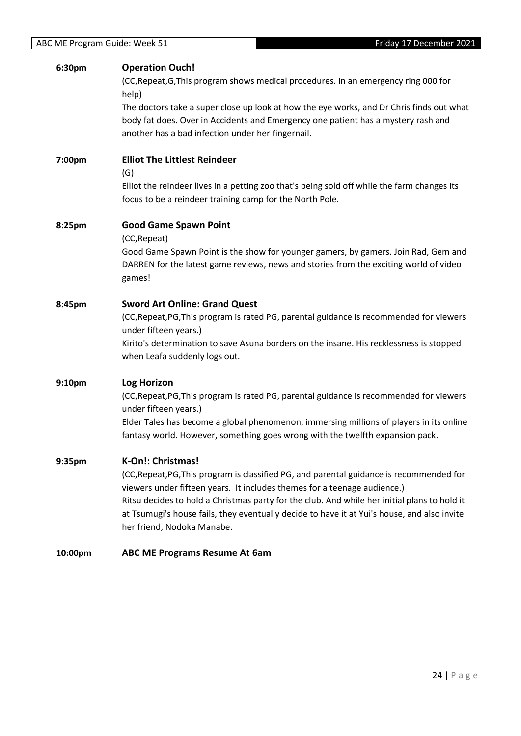## **6:30pm Operation Ouch!**

(CC,Repeat,G,This program shows medical procedures. In an emergency ring 000 for help)

The doctors take a super close up look at how the eye works, and Dr Chris finds out what body fat does. Over in Accidents and Emergency one patient has a mystery rash and another has a bad infection under her fingernail.

## **7:00pm Elliot The Littlest Reindeer**

(G)

Elliot the reindeer lives in a petting zoo that's being sold off while the farm changes its focus to be a reindeer training camp for the North Pole.

## **8:25pm Good Game Spawn Point**

(CC,Repeat)

Good Game Spawn Point is the show for younger gamers, by gamers. Join Rad, Gem and DARREN for the latest game reviews, news and stories from the exciting world of video games!

## **8:45pm Sword Art Online: Grand Quest**

(CC,Repeat,PG,This program is rated PG, parental guidance is recommended for viewers under fifteen years.)

Kirito's determination to save Asuna borders on the insane. His recklessness is stopped when Leafa suddenly logs out.

## **9:10pm Log Horizon**

(CC,Repeat,PG,This program is rated PG, parental guidance is recommended for viewers under fifteen years.)

Elder Tales has become a global phenomenon, immersing millions of players in its online fantasy world. However, something goes wrong with the twelfth expansion pack.

## **9:35pm K-On!: Christmas!**

(CC,Repeat,PG,This program is classified PG, and parental guidance is recommended for viewers under fifteen years. It includes themes for a teenage audience.) Ritsu decides to hold a Christmas party for the club. And while her initial plans to hold it at Tsumugi's house fails, they eventually decide to have it at Yui's house, and also invite her friend, Nodoka Manabe.

#### **10:00pm ABC ME Programs Resume At 6am**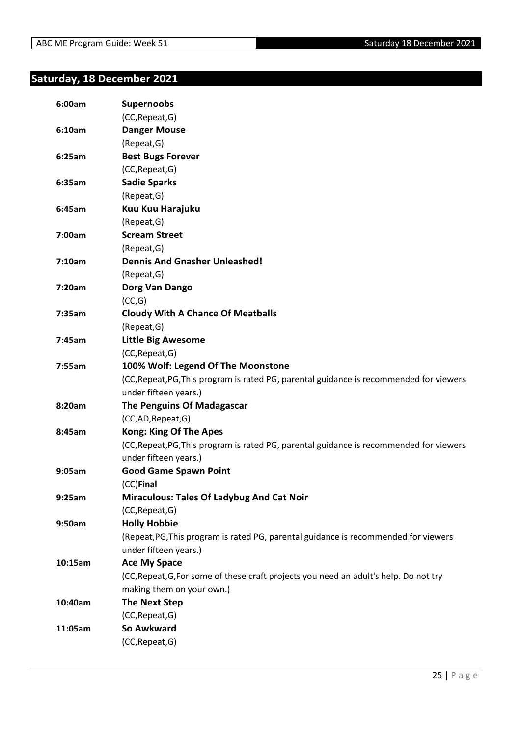# <span id="page-24-0"></span>**Saturday, 18 December 2021**

| 6:00am  | <b>Supernoobs</b>                                                                       |
|---------|-----------------------------------------------------------------------------------------|
|         | (CC, Repeat, G)                                                                         |
| 6:10am  | <b>Danger Mouse</b>                                                                     |
|         | (Repeat, G)                                                                             |
| 6:25am  | <b>Best Bugs Forever</b>                                                                |
|         | (CC, Repeat, G)                                                                         |
| 6:35am  | <b>Sadie Sparks</b>                                                                     |
|         | (Repeat, G)                                                                             |
| 6:45am  | Kuu Kuu Harajuku                                                                        |
|         | (Repeat, G)                                                                             |
| 7:00am  | <b>Scream Street</b>                                                                    |
|         | (Repeat, G)                                                                             |
| 7:10am  | <b>Dennis And Gnasher Unleashed!</b>                                                    |
|         | (Repeat, G)                                                                             |
| 7:20am  | Dorg Van Dango                                                                          |
|         | (CC,G)                                                                                  |
| 7:35am  | <b>Cloudy With A Chance Of Meatballs</b>                                                |
|         | (Repeat, G)                                                                             |
| 7:45am  | <b>Little Big Awesome</b>                                                               |
|         | (CC, Repeat, G)                                                                         |
| 7:55am  | 100% Wolf: Legend Of The Moonstone                                                      |
|         | (CC, Repeat, PG, This program is rated PG, parental guidance is recommended for viewers |
|         | under fifteen years.)                                                                   |
| 8:20am  | <b>The Penguins Of Madagascar</b>                                                       |
|         | (CC,AD,Repeat,G)                                                                        |
| 8:45am  | <b>Kong: King Of The Apes</b>                                                           |
|         | (CC, Repeat, PG, This program is rated PG, parental guidance is recommended for viewers |
|         | under fifteen years.)                                                                   |
| 9:05am  | <b>Good Game Spawn Point</b>                                                            |
|         | (CC)Final                                                                               |
| 9:25am  | <b>Miraculous: Tales Of Ladybug And Cat Noir</b>                                        |
|         | (CC, Repeat, G)                                                                         |
| 9:50am  | <b>Holly Hobbie</b>                                                                     |
|         | (Repeat, PG, This program is rated PG, parental guidance is recommended for viewers     |
|         | under fifteen years.)                                                                   |
| 10:15am | <b>Ace My Space</b>                                                                     |
|         | (CC, Repeat, G, For some of these craft projects you need an adult's help. Do not try   |
|         | making them on your own.)                                                               |
| 10:40am | <b>The Next Step</b>                                                                    |
|         | (CC, Repeat, G)                                                                         |
| 11:05am | So Awkward                                                                              |
|         | (CC, Repeat, G)                                                                         |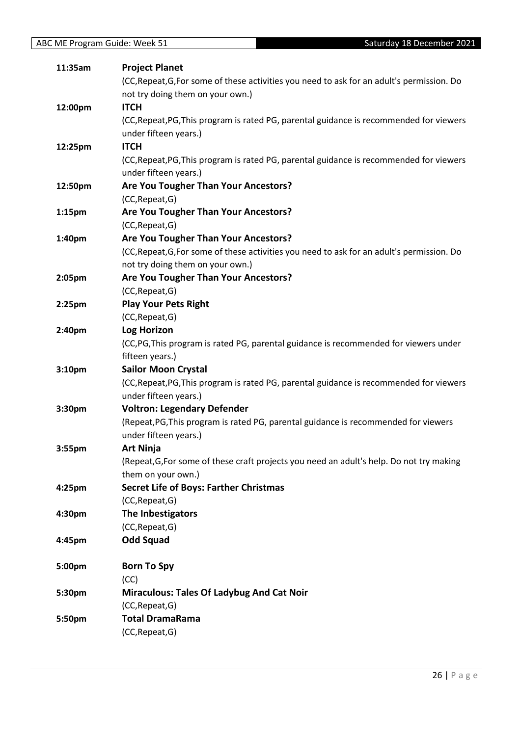| 11:35am            | <b>Project Planet</b>                                                                      |
|--------------------|--------------------------------------------------------------------------------------------|
|                    | (CC, Repeat, G, For some of these activities you need to ask for an adult's permission. Do |
|                    | not try doing them on your own.)                                                           |
| 12:00pm            | <b>ITCH</b>                                                                                |
|                    | (CC, Repeat, PG, This program is rated PG, parental guidance is recommended for viewers    |
|                    | under fifteen years.)                                                                      |
| 12:25pm            | <b>ITCH</b>                                                                                |
|                    | (CC, Repeat, PG, This program is rated PG, parental guidance is recommended for viewers    |
|                    | under fifteen years.)                                                                      |
| 12:50pm            | Are You Tougher Than Your Ancestors?                                                       |
|                    | (CC, Repeat, G)                                                                            |
| 1:15 <sub>pm</sub> | Are You Tougher Than Your Ancestors?                                                       |
|                    | (CC, Repeat, G)                                                                            |
| 1:40pm             | Are You Tougher Than Your Ancestors?                                                       |
|                    | (CC, Repeat, G, For some of these activities you need to ask for an adult's permission. Do |
|                    | not try doing them on your own.)                                                           |
| 2:05pm             | Are You Tougher Than Your Ancestors?                                                       |
|                    | (CC, Repeat, G)                                                                            |
| $2:25$ pm          | <b>Play Your Pets Right</b>                                                                |
|                    | (CC, Repeat, G)                                                                            |
| 2:40pm             | <b>Log Horizon</b>                                                                         |
|                    | (CC,PG, This program is rated PG, parental guidance is recommended for viewers under       |
|                    | fifteen years.)                                                                            |
| 3:10pm             | <b>Sailor Moon Crystal</b>                                                                 |
|                    | (CC, Repeat, PG, This program is rated PG, parental guidance is recommended for viewers    |
|                    | under fifteen years.)                                                                      |
| 3:30pm             | <b>Voltron: Legendary Defender</b>                                                         |
|                    | (Repeat, PG, This program is rated PG, parental guidance is recommended for viewers        |
|                    | under fifteen years.)                                                                      |
| 3:55pm             | <b>Art Ninja</b>                                                                           |
|                    | (Repeat, G, For some of these craft projects you need an adult's help. Do not try making   |
|                    | them on your own.)                                                                         |
| 4:25pm             | <b>Secret Life of Boys: Farther Christmas</b>                                              |
|                    | (CC, Repeat, G)                                                                            |
| 4:30pm             | The Inbestigators                                                                          |
|                    | (CC, Repeat, G)                                                                            |
| 4:45pm             | <b>Odd Squad</b>                                                                           |
| 5:00pm             | <b>Born To Spy</b>                                                                         |
|                    | (CC)                                                                                       |
| 5:30pm             | <b>Miraculous: Tales Of Ladybug And Cat Noir</b>                                           |
|                    | (CC, Repeat, G)                                                                            |
| 5:50pm             | <b>Total DramaRama</b>                                                                     |
|                    | (CC, Repeat, G)                                                                            |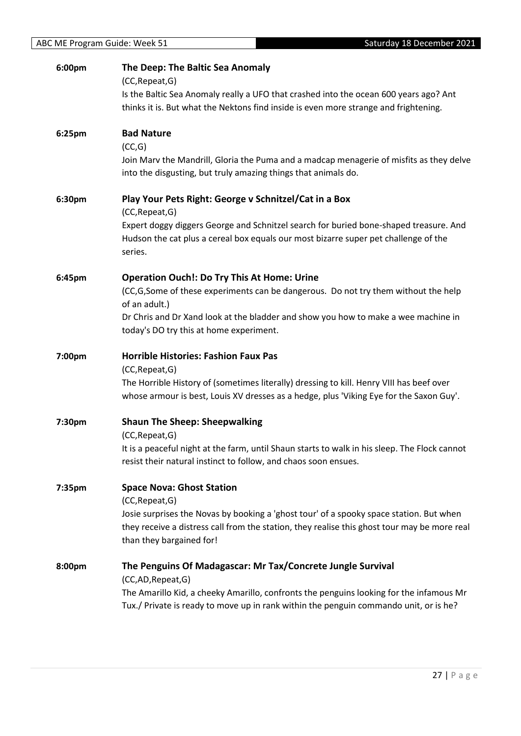| 6:00pm | The Deep: The Baltic Sea Anomaly<br>(CC, Repeat, G)                                                                                                                                     |
|--------|-----------------------------------------------------------------------------------------------------------------------------------------------------------------------------------------|
|        | Is the Baltic Sea Anomaly really a UFO that crashed into the ocean 600 years ago? Ant                                                                                                   |
|        | thinks it is. But what the Nektons find inside is even more strange and frightening.                                                                                                    |
| 6:25pm | <b>Bad Nature</b>                                                                                                                                                                       |
|        | (CC,G)                                                                                                                                                                                  |
|        | Join Marv the Mandrill, Gloria the Puma and a madcap menagerie of misfits as they delve<br>into the disgusting, but truly amazing things that animals do.                               |
| 6:30pm | Play Your Pets Right: George v Schnitzel/Cat in a Box<br>(CC, Repeat, G)                                                                                                                |
|        | Expert doggy diggers George and Schnitzel search for buried bone-shaped treasure. And<br>Hudson the cat plus a cereal box equals our most bizarre super pet challenge of the<br>series. |
| 6:45pm | <b>Operation Ouch!: Do Try This At Home: Urine</b>                                                                                                                                      |
|        | (CC,G,Some of these experiments can be dangerous. Do not try them without the help                                                                                                      |
|        | of an adult.)                                                                                                                                                                           |
|        | Dr Chris and Dr Xand look at the bladder and show you how to make a wee machine in<br>today's DO try this at home experiment.                                                           |
| 7:00pm | <b>Horrible Histories: Fashion Faux Pas</b>                                                                                                                                             |
|        | (CC, Repeat, G)                                                                                                                                                                         |
|        | The Horrible History of (sometimes literally) dressing to kill. Henry VIII has beef over<br>whose armour is best, Louis XV dresses as a hedge, plus 'Viking Eye for the Saxon Guy'.     |
| 7:30pm | <b>Shaun The Sheep: Sheepwalking</b>                                                                                                                                                    |
|        | (CC, Repeat, G)                                                                                                                                                                         |
|        | It is a peaceful night at the farm, until Shaun starts to walk in his sleep. The Flock cannot<br>resist their natural instinct to follow, and chaos soon ensues.                        |
| 7:35pm | <b>Space Nova: Ghost Station</b>                                                                                                                                                        |
|        | (CC, Repeat, G)                                                                                                                                                                         |
|        | Josie surprises the Novas by booking a 'ghost tour' of a spooky space station. But when                                                                                                 |
|        | they receive a distress call from the station, they realise this ghost tour may be more real<br>than they bargained for!                                                                |
| 8:00pm | The Penguins Of Madagascar: Mr Tax/Concrete Jungle Survival                                                                                                                             |
|        | (CC,AD,Repeat,G)                                                                                                                                                                        |
|        | The Amarillo Kid, a cheeky Amarillo, confronts the penguins looking for the infamous Mr                                                                                                 |